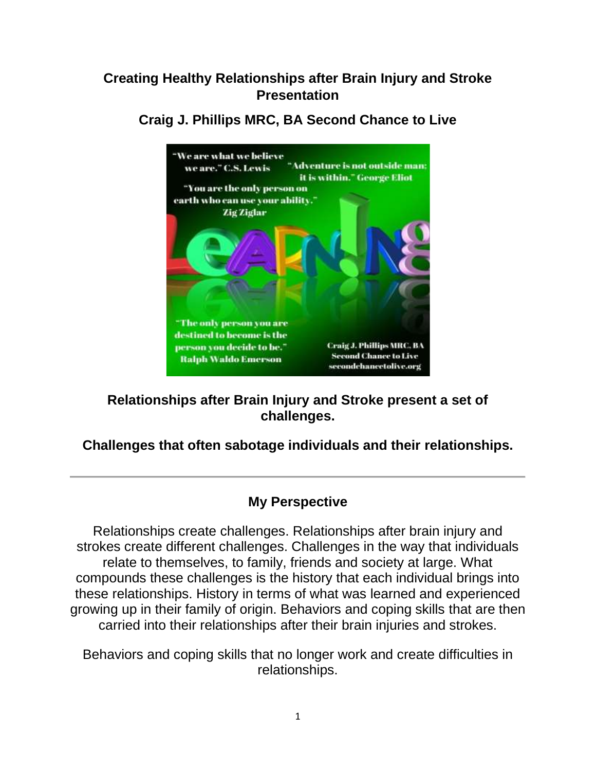# **Creating Healthy Relationships after Brain Injury and Stroke Presentation**



**Craig J. Phillips MRC, BA Second Chance to Live**

**Relationships after Brain Injury and Stroke present a set of challenges.**

## **Challenges that often sabotage individuals and their relationships.**

## **My Perspective**

Relationships create challenges. Relationships after brain injury and strokes create different challenges. Challenges in the way that individuals relate to themselves, to family, friends and society at large. What compounds these challenges is the history that each individual brings into these relationships. History in terms of what was learned and experienced growing up in their family of origin. Behaviors and coping skills that are then carried into their relationships after their brain injuries and strokes.

Behaviors and coping skills that no longer work and create difficulties in relationships.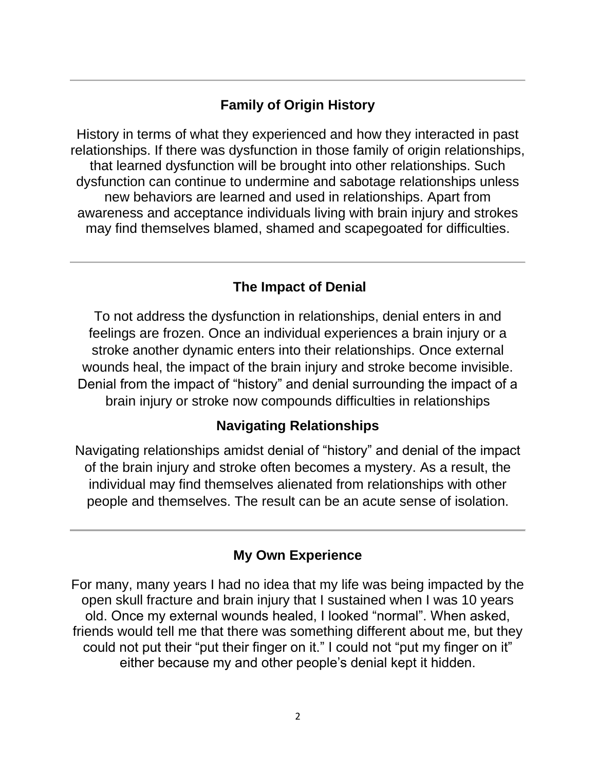# **Family of Origin History**

History in terms of what they experienced and how they interacted in past relationships. If there was dysfunction in those family of origin relationships, that learned dysfunction will be brought into other relationships. Such dysfunction can continue to undermine and sabotage relationships unless new behaviors are learned and used in relationships. Apart from awareness and acceptance individuals living with brain injury and strokes may find themselves blamed, shamed and scapegoated for difficulties.

# **The Impact of Denial**

To not address the dysfunction in relationships, denial enters in and feelings are frozen. Once an individual experiences a brain injury or a stroke another dynamic enters into their relationships. Once external wounds heal, the impact of the brain injury and stroke become invisible. Denial from the impact of "history" and denial surrounding the impact of a brain injury or stroke now compounds difficulties in relationships

# **Navigating Relationships**

Navigating relationships amidst denial of "history" and denial of the impact of the brain injury and stroke often becomes a mystery. As a result, the individual may find themselves alienated from relationships with other people and themselves. The result can be an acute sense of isolation.

# **My Own Experience**

For many, many years I had no idea that my life was being impacted by the open skull fracture and brain injury that I sustained when I was 10 years old. Once my external wounds healed, I looked "normal". When asked, friends would tell me that there was something different about me, but they could not put their "put their finger on it." I could not "put my finger on it" either because my and other people's denial kept it hidden.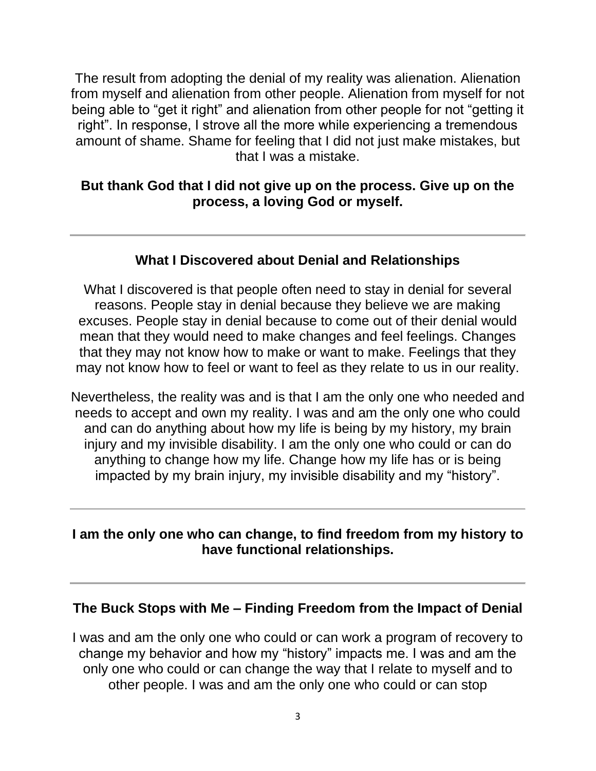The result from adopting the denial of my reality was alienation. Alienation from myself and alienation from other people. Alienation from myself for not being able to "get it right" and alienation from other people for not "getting it right". In response, I strove all the more while experiencing a tremendous amount of shame. Shame for feeling that I did not just make mistakes, but that I was a mistake.

#### **But thank God that I did not give up on the process. Give up on the process, a loving God or myself.**

## **What I Discovered about Denial and Relationships**

What I discovered is that people often need to stay in denial for several reasons. People stay in denial because they believe we are making excuses. People stay in denial because to come out of their denial would mean that they would need to make changes and feel feelings. Changes that they may not know how to make or want to make. Feelings that they may not know how to feel or want to feel as they relate to us in our reality.

Nevertheless, the reality was and is that I am the only one who needed and needs to accept and own my reality. I was and am the only one who could and can do anything about how my life is being by my history, my brain injury and my invisible disability. I am the only one who could or can do anything to change how my life. Change how my life has or is being impacted by my brain injury, my invisible disability and my "history".

#### **I am the only one who can change, to find freedom from my history to have functional relationships.**

#### **The Buck Stops with Me – Finding Freedom from the Impact of Denial**

I was and am the only one who could or can work a program of recovery to change my behavior and how my "history" impacts me. I was and am the only one who could or can change the way that I relate to myself and to other people. I was and am the only one who could or can stop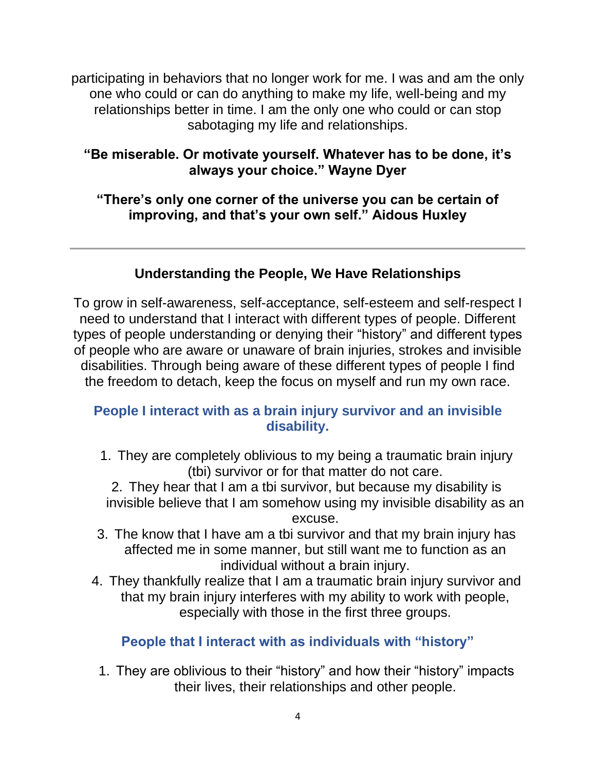participating in behaviors that no longer work for me. I was and am the only one who could or can do anything to make my life, well-being and my relationships better in time. I am the only one who could or can stop sabotaging my life and relationships.

## **"Be miserable. Or motivate yourself. Whatever has to be done, it's always your choice." Wayne Dyer**

## **"There's only one corner of the universe you can be certain of improving, and that's your own self." Aidous Huxley**

# **Understanding the People, We Have Relationships**

To grow in self-awareness, self-acceptance, self-esteem and self-respect I need to understand that I interact with different types of people. Different types of people understanding or denying their "history" and different types of people who are aware or unaware of brain injuries, strokes and invisible disabilities. Through being aware of these different types of people I find the freedom to detach, keep the focus on myself and run my own race.

## **People I interact with as a brain injury survivor and an invisible disability.**

1. They are completely oblivious to my being a traumatic brain injury (tbi) survivor or for that matter do not care.

2. They hear that I am a tbi survivor, but because my disability is invisible believe that I am somehow using my invisible disability as an excuse.

- 3. The know that I have am a tbi survivor and that my brain injury has affected me in some manner, but still want me to function as an individual without a brain injury.
- 4. They thankfully realize that I am a traumatic brain injury survivor and that my brain injury interferes with my ability to work with people, especially with those in the first three groups.

# **People that I interact with as individuals with "history"**

1. They are oblivious to their "history" and how their "history" impacts their lives, their relationships and other people.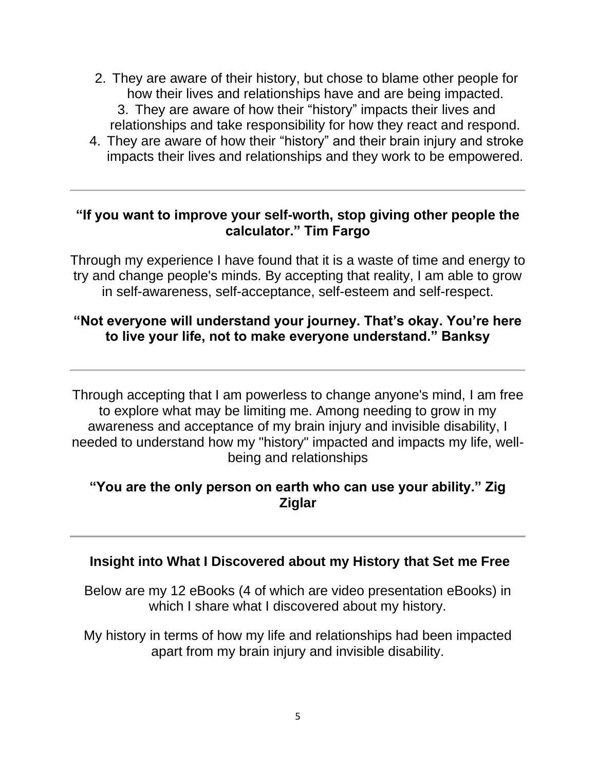- 2. They are aware of their history, but chose to blame other people for how their lives and relationships have and are being impacted. 3. They are aware of how their "history" impacts their lives and relationships and take responsibility for how they react and respond.
- 4. They are aware of how their "history" and their brain injury and stroke impacts their lives and relationships and they work to be empowered.

## **"If you want to improve your self-worth, stop giving other people the calculator." Tim Fargo**

Through my experience I have found that it is a waste of time and energy to try and change people's minds. By accepting that reality, I am able to grow in self-awareness, self-acceptance, self-esteem and self-respect.

## **"Not everyone will understand your journey. That's okay. You're here to live your life, not to make everyone understand." Banksy**

Through accepting that I am powerless to change anyone's mind, I am free to explore what may be limiting me. Among needing to grow in my awareness and acceptance of my brain injury and invisible disability, I needed to understand how my "history" impacted and impacts my life, wellbeing and relationships

#### **"You are the only person on earth who can use your ability." Zig Ziglar**

#### **Insight into What I Discovered about my History that Set me Free**

Below are my 12 eBooks (4 of which are video presentation eBooks) in which I share what I discovered about my history.

My history in terms of how my life and relationships had been impacted apart from my brain injury and invisible disability.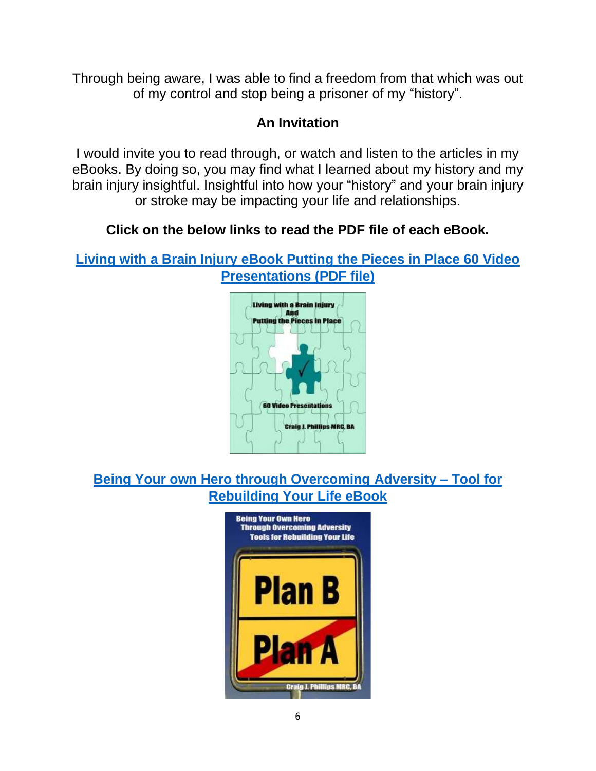Through being aware, I was able to find a freedom from that which was out of my control and stop being a prisoner of my "history".

# **An Invitation**

I would invite you to read through, or watch and listen to the articles in my eBooks. By doing so, you may find what I learned about my history and my brain injury insightful. Insightful into how your "history" and your brain injury or stroke may be impacting your life and relationships.

# **Click on the below links to read the PDF file of each eBook.**

**[Living with a Brain Injury eBook Putting the Pieces in Place 60 Video](https://secondchancetolive.org/wp-content/uploads/2016/08/Living-with-a-Brain-Injury-Putting-the-Pieces-in-Place-Video-Presentation-eBook-6.pdf)  [Presentations \(PDF file\)](https://secondchancetolive.org/wp-content/uploads/2016/08/Living-with-a-Brain-Injury-Putting-the-Pieces-in-Place-Video-Presentation-eBook-6.pdf)**



# **[Being Your own Hero through Overcoming Adversity –](https://secondchancetolive.org/wp-content/uploads/2015/12/Being-Your-Own-Hero-Through-Overcoming-Adversity-Tools-for-Rebuilding-Your-Life-e-Book-revised-April-20-2015-Final-December-26-2015.pdf) Tool for [Rebuilding Your Life eBook](https://secondchancetolive.org/wp-content/uploads/2015/12/Being-Your-Own-Hero-Through-Overcoming-Adversity-Tools-for-Rebuilding-Your-Life-e-Book-revised-April-20-2015-Final-December-26-2015.pdf)**

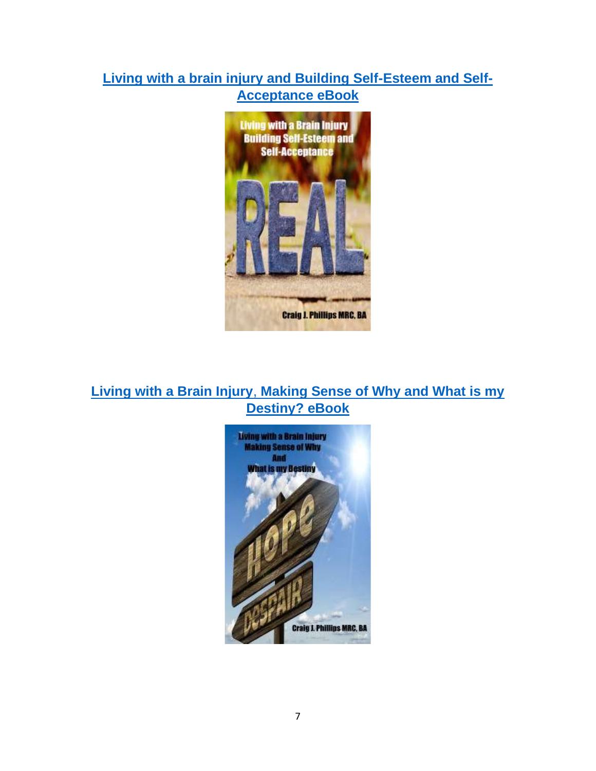## **[Living with a brain injury and Building Self-Esteem and Self-](https://secondchancetolive.org/wp-content/uploads/2015/12/Living-with-a-Brain-Injury-Building-Self-Esteem-and-Self-Acceptance-e-Book-December-29-2015.pdf)[Acceptance eBook](https://secondchancetolive.org/wp-content/uploads/2015/12/Living-with-a-Brain-Injury-Building-Self-Esteem-and-Self-Acceptance-e-Book-December-29-2015.pdf)**



## **Living with a Brain Injury**, **[Making Sense of Why and What is my](https://secondchancetolive.org/wp-content/uploads/2015/12/Living-with-a-Brain-Injury-Making-Sense-of-Why-and-What-is-my-Destiny-e-Book-Final.pdf)  [Destiny? eBook](https://secondchancetolive.org/wp-content/uploads/2015/12/Living-with-a-Brain-Injury-Making-Sense-of-Why-and-What-is-my-Destiny-e-Book-Final.pdf)**

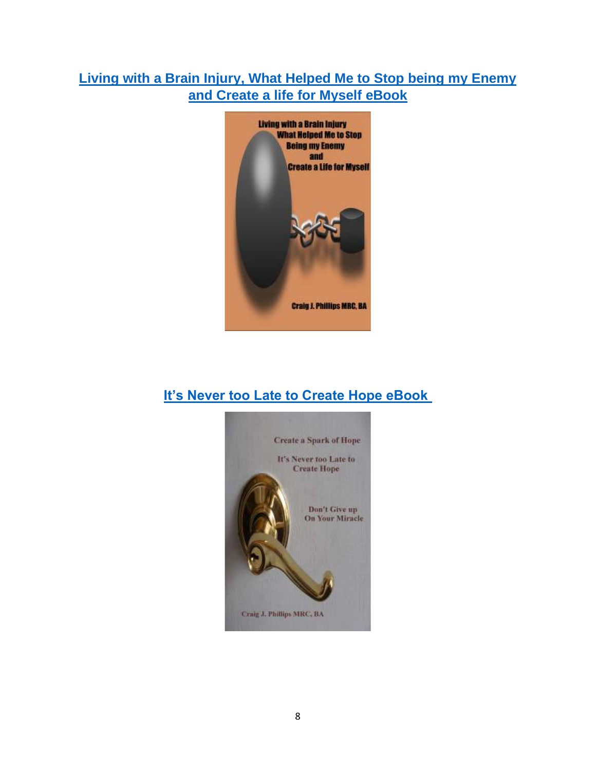# **[Living with a Brain Injury, What Helped Me to Stop being my Enemy](https://secondchancetolive.org/wp-content/uploads/2015/12/Living-with-a-Brain-Injury-What-Helped-me-to-Stop-Fighting-Against-Myself-and-Create-a-Life-for-Myself.pdf)  [and Create a life for Myself eBook](https://secondchancetolive.org/wp-content/uploads/2015/12/Living-with-a-Brain-Injury-What-Helped-me-to-Stop-Fighting-Against-Myself-and-Create-a-Life-for-Myself.pdf)**



# **[It's Never too Late to Create Hope eBook](https://secondchancetolive.org/wp-content/uploads/2019/04/Its-Never-too-Late-to-Create-Hope-eBook-7.pdf)**

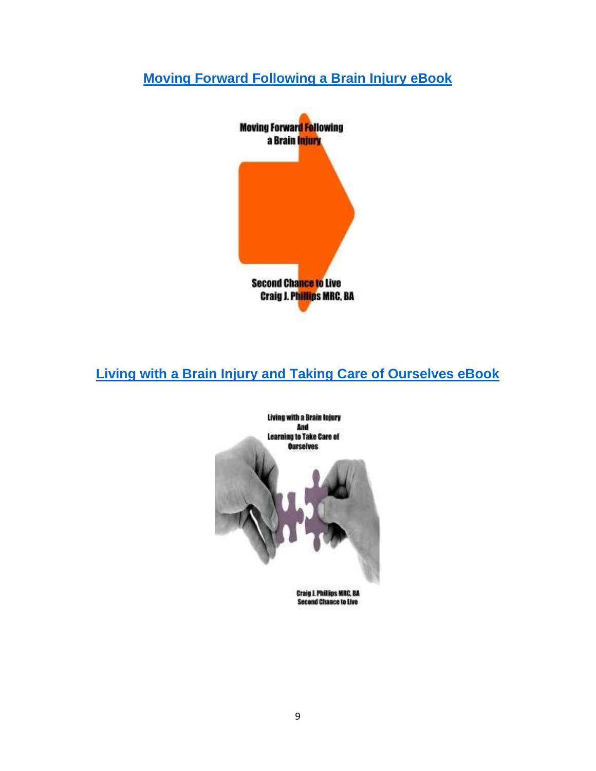# **[Moving Forward Following a Brain Injury eBook](https://secondchancetolive.org/wp-content/uploads/2016/04/Moving-Foward-Following-a-Brain-Injury-eBook-Final-Copy-5.pdf)**



# **[Living with a Brain Injury and Taking Care of Ourselves eBook](https://secondchancetolive.org/wp-content/uploads/2016/11/Living-with-a-Brain-Injury-and-Learning-to-Take-Care-of-Ourselves-eBook-Updated-3.pdf)**

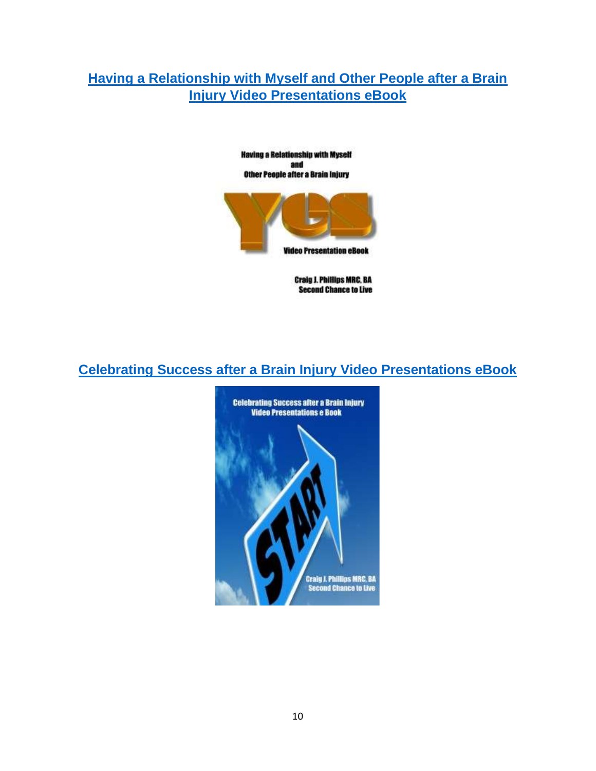# **[Having a Relationship with Myself and Other People after a Brain](https://secondchancetolive.org/wp-content/uploads/2016/11/Relationships-after-a-Brain-Injury-Video-Presentation-2-e-Book.pdf)  [Injury Video Presentations eBook](https://secondchancetolive.org/wp-content/uploads/2016/11/Relationships-after-a-Brain-Injury-Video-Presentation-2-e-Book.pdf)**



**Having a Relationship with Myself** 

**Craig J. Phillips MRC, BA Second Chance to Live** 

## **[Celebrating Success after a Brain Injury Video Presentations eBook](https://secondchancetolive.org/wp-content/uploads/2016/12/Celebrating-Success-After-Experiencing-a-Brain-Injury-Video-Presentations-eBook-5.pdf)**

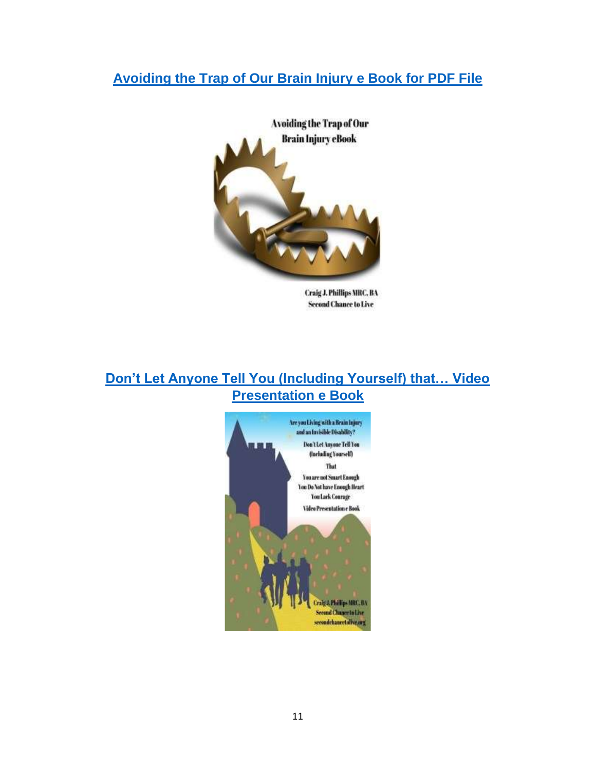## **[Avoiding the Trap of Our Brain Injury e Book for PDF File](https://secondchancetolive.org/wp-content/uploads/2020/12/Avoiding-the-Trap-of-Our-Brain-Injury-e-Book-for-PDF-File.pdf)**



Craig J. Phillips MRC, BA **Second Chance to Live** 

## **[Don't Let Anyone Tell You \(Including Yourself\) that… Video](https://secondchancetolive.org/wp-content/uploads/2021/02/Dont-Let-Anyone-Tell-You-ncluding-Yourself...Video-Presentation-e-Book.pdf)  [Presentation e Book](https://secondchancetolive.org/wp-content/uploads/2021/02/Dont-Let-Anyone-Tell-You-ncluding-Yourself...Video-Presentation-e-Book.pdf)**

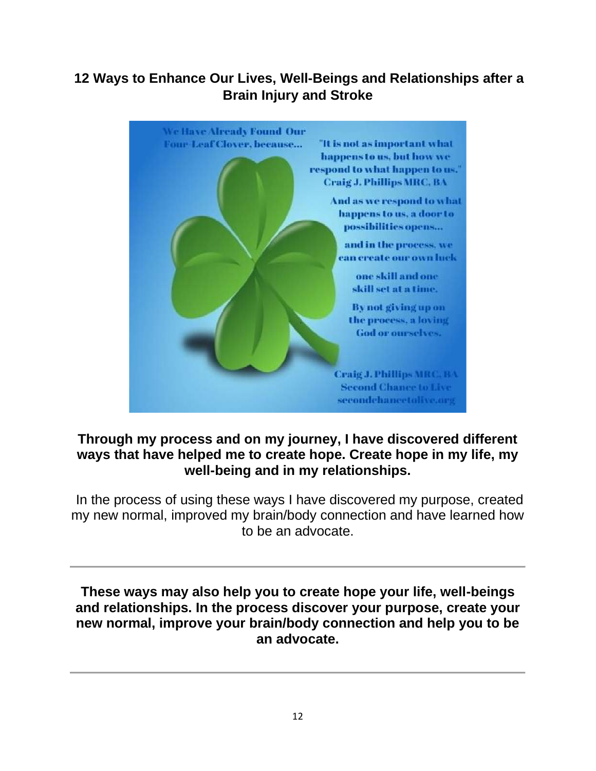# **12 Ways to Enhance Our Lives, Well-Beings and Relationships after a Brain Injury and Stroke**



## **Through my process and on my journey, I have discovered different ways that have helped me to create hope. Create hope in my life, my well-being and in my relationships.**

In the process of using these ways I have discovered my purpose, created my new normal, improved my brain/body connection and have learned how to be an advocate.

**These ways may also help you to create hope your life, well-beings and relationships. In the process discover your purpose, create your new normal, improve your brain/body connection and help you to be an advocate.**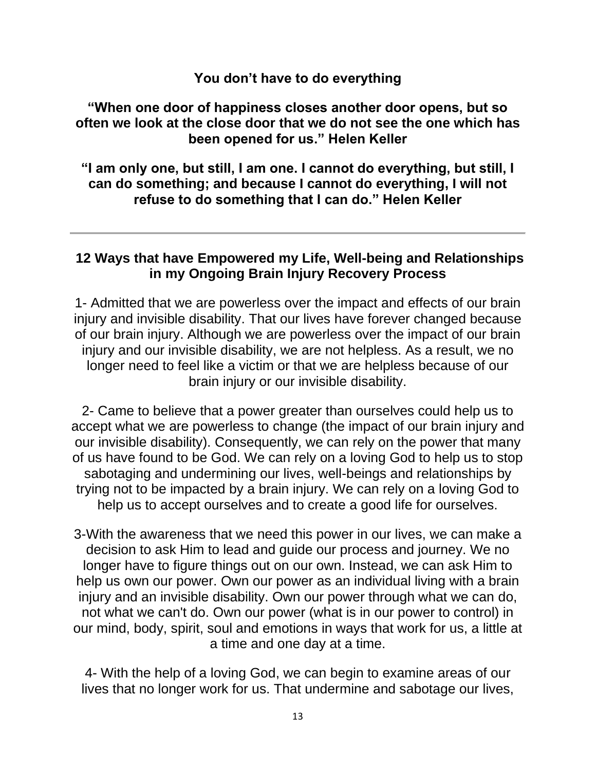#### **You don't have to do everything**

## **"When one door of happiness closes another door opens, but so often we look at the close door that we do not see the one which has been opened for us." Helen Keller**

**"I am only one, but still, I am one. I cannot do everything, but still, I can do something; and because I cannot do everything, I will not refuse to do something that I can do." Helen Keller**

## **12 Ways that have Empowered my Life, Well-being and Relationships in my Ongoing Brain Injury Recovery Process**

1- Admitted that we are powerless over the impact and effects of our brain injury and invisible disability. That our lives have forever changed because of our brain injury. Although we are powerless over the impact of our brain injury and our invisible disability, we are not helpless. As a result, we no longer need to feel like a victim or that we are helpless because of our brain injury or our invisible disability.

2- Came to believe that a power greater than ourselves could help us to accept what we are powerless to change (the impact of our brain injury and our invisible disability). Consequently, we can rely on the power that many of us have found to be God. We can rely on a loving God to help us to stop sabotaging and undermining our lives, well-beings and relationships by trying not to be impacted by a brain injury. We can rely on a loving God to help us to accept ourselves and to create a good life for ourselves.

3-With the awareness that we need this power in our lives, we can make a decision to ask Him to lead and guide our process and journey. We no longer have to figure things out on our own. Instead, we can ask Him to help us own our power. Own our power as an individual living with a brain injury and an invisible disability. Own our power through what we can do, not what we can't do. Own our power (what is in our power to control) in our mind, body, spirit, soul and emotions in ways that work for us, a little at a time and one day at a time.

4- With the help of a loving God, we can begin to examine areas of our lives that no longer work for us. That undermine and sabotage our lives,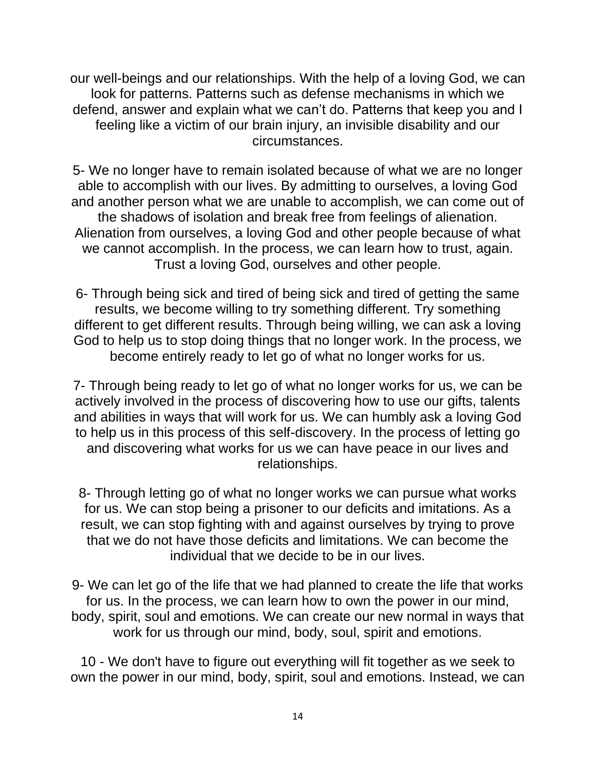our well-beings and our relationships. With the help of a loving God, we can look for patterns. Patterns such as defense mechanisms in which we defend, answer and explain what we can't do. Patterns that keep you and I feeling like a victim of our brain injury, an invisible disability and our circumstances.

5- We no longer have to remain isolated because of what we are no longer able to accomplish with our lives. By admitting to ourselves, a loving God and another person what we are unable to accomplish, we can come out of the shadows of isolation and break free from feelings of alienation. Alienation from ourselves, a loving God and other people because of what we cannot accomplish. In the process, we can learn how to trust, again. Trust a loving God, ourselves and other people.

6- Through being sick and tired of being sick and tired of getting the same results, we become willing to try something different. Try something different to get different results. Through being willing, we can ask a loving God to help us to stop doing things that no longer work. In the process, we become entirely ready to let go of what no longer works for us.

7- Through being ready to let go of what no longer works for us, we can be actively involved in the process of discovering how to use our gifts, talents and abilities in ways that will work for us. We can humbly ask a loving God to help us in this process of this self-discovery. In the process of letting go and discovering what works for us we can have peace in our lives and relationships.

8- Through letting go of what no longer works we can pursue what works for us. We can stop being a prisoner to our deficits and imitations. As a result, we can stop fighting with and against ourselves by trying to prove that we do not have those deficits and limitations. We can become the individual that we decide to be in our lives.

9- We can let go of the life that we had planned to create the life that works for us. In the process, we can learn how to own the power in our mind, body, spirit, soul and emotions. We can create our new normal in ways that work for us through our mind, body, soul, spirit and emotions.

10 - We don't have to figure out everything will fit together as we seek to own the power in our mind, body, spirit, soul and emotions. Instead, we can